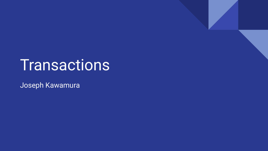# **Transactions**

Joseph Kawamura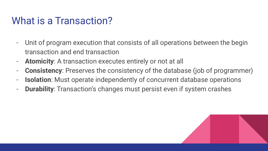### What is a Transaction?

- Unit of program execution that consists of all operations between the begin transaction and end transaction
- **Atomicity**: A transaction executes entirely or not at all
- **Consistency**: Preserves the consistency of the database (job of programmer)
- **Isolation**: Must operate independently of concurrent database operations
- **Durability**: Transaction's changes must persist even if system crashes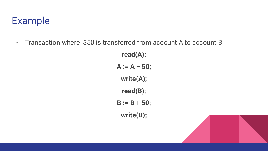### Example

- Transaction where \$50 is transferred from account A to account B

**read(A); A := A − 50; write(A); read(B); B := B + 50; write(B);**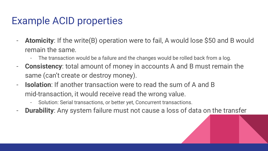### Example ACID properties

- **Atomicity**: If the write(B) operation were to fail, A would lose \$50 and B would remain the same.
	- The transaction would be a failure and the changes would be rolled back from a log.
- **Consistency**: total amount of money in accounts A and B must remain the same (can't create or destroy money).
- **Isolation**: If another transaction were to read the sum of A and B mid-transaction, it would receive read the wrong value.
	- Solution: Serial transactions, or better yet, Concurrent transactions.
- **Durability**: Any system failure must not cause a loss of data on the transfer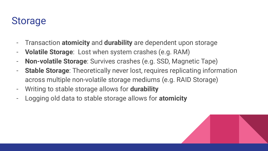#### Storage

- Transaction **atomicity** and **durability** are dependent upon storage
- **Volatile Storage**: Lost when system crashes (e.g. RAM)
- **Non-volatile Storage**: Survives crashes (e.g. SSD, Magnetic Tape)
- **Stable Storage**: Theoretically never lost, requires replicating information across multiple non-volatile storage mediums (e.g. RAID Storage)
- Writing to stable storage allows for **durability**
- Logging old data to stable storage allows for **atomicity**

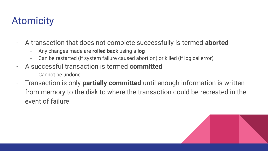## Atomicity

- A transaction that does not complete successfully is termed **aborted**
	- Any changes made are **rolled back** using a **log**
	- Can be restarted (if system failure caused abortion) or killed (if logical error)
- A successful transaction is termed **committed**
	- Cannot be undone
- Transaction is only **partially committed** until enough information is written from memory to the disk to where the transaction could be recreated in the event of failure.